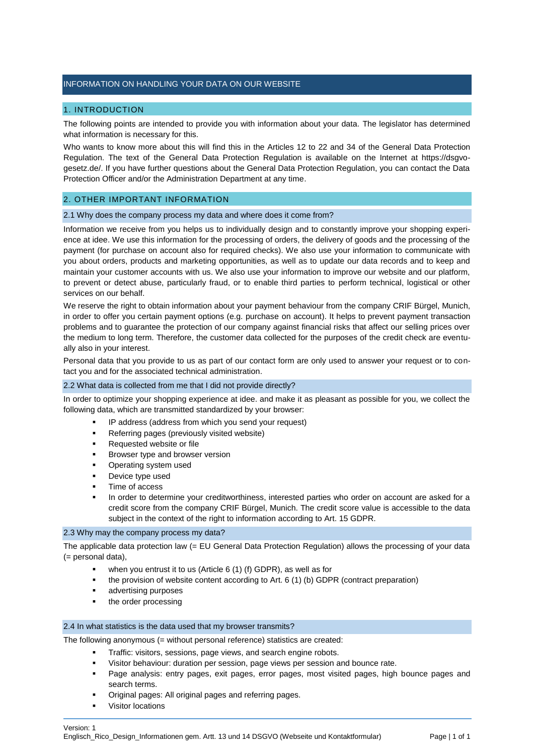# INFORMATION ON HANDLING YOUR DATA ON OUR WEBSITE

# 1. INTRODUCTION

The following points are intended to provide you with information about your data. The legislator has determined what information is necessary for this.

Who wants to know more about this will find this in the Articles 12 to 22 and 34 of the General Data Protection Regulation. The text of the General Data Protection Regulation is available on the Internet at https://dsgvogesetz.de/. If you have further questions about the General Data Protection Regulation, you can contact the Data Protection Officer and/or the Administration Department at any time.

### 2. OTHER IMPORTANT INFORMATION

# 2.1 Why does the company process my data and where does it come from?

Information we receive from you helps us to individually design and to constantly improve your shopping experience at idee. We use this information for the processing of orders, the delivery of goods and the processing of the payment (for purchase on account also for required checks). We also use your information to communicate with you about orders, products and marketing opportunities, as well as to update our data records and to keep and maintain your customer accounts with us. We also use your information to improve our website and our platform, to prevent or detect abuse, particularly fraud, or to enable third parties to perform technical, logistical or other services on our behalf.

We reserve the right to obtain information about your payment behaviour from the company CRIF Bürgel, Munich, in order to offer you certain payment options (e.g. purchase on account). It helps to prevent payment transaction problems and to guarantee the protection of our company against financial risks that affect our selling prices over the medium to long term. Therefore, the customer data collected for the purposes of the credit check are eventually also in your interest.

Personal data that you provide to us as part of our contact form are only used to answer your request or to contact you and for the associated technical administration.

#### 2.2 What data is collected from me that I did not provide directly?

In order to optimize your shopping experience at idee. and make it as pleasant as possible for you, we collect the following data, which are transmitted standardized by your browser:

- IP address (address from which you send your request)
- Referring pages (previously visited website)
- Requested website or file
- **Browser type and browser version**
- **•** Operating system used
- Device type used
- Time of access
- In order to determine your creditworthiness, interested parties who order on account are asked for a credit score from the company CRIF Bürgel, Munich. The credit score value is accessible to the data subject in the context of the right to information according to Art. 15 GDPR.

#### 2.3 Why may the company process my data?

The applicable data protection law (= EU General Data Protection Regulation) allows the processing of your data (= personal data),

- when you entrust it to us (Article 6 (1) (f) GDPR), as well as for
- the provision of website content according to Art. 6 (1) (b) GDPR (contract preparation)
- **advertising purposes**
- the order processing

### 2.4 In what statistics is the data used that my browser transmits?

The following anonymous (= without personal reference) statistics are created:

- Traffic: visitors, sessions, page views, and search engine robots.
- Visitor behaviour: duration per session, page views per session and bounce rate.
- Page analysis: entry pages, exit pages, error pages, most visited pages, high bounce pages and search terms.
- Original pages: All original pages and referring pages.
- Visitor locations

Version: 1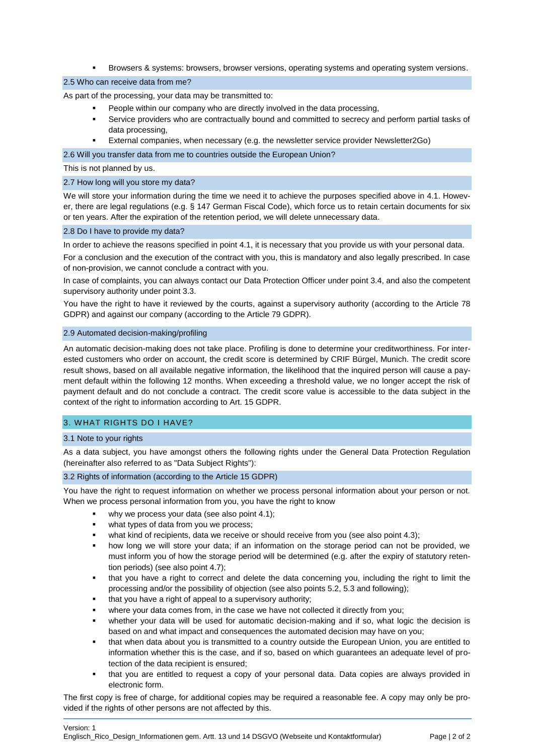Browsers & systems: browsers, browser versions, operating systems and operating system versions.

### 2.5 Who can receive data from me?

As part of the processing, your data may be transmitted to:

- People within our company who are directly involved in the data processing,
- Service providers who are contractually bound and committed to secrecy and perform partial tasks of data processing,
- External companies, when necessary (e.g. the newsletter service provider Newsletter2Go)

### 2.6 Will you transfer data from me to countries outside the European Union?

This is not planned by us.

### 2.7 How long will you store my data?

We will store your information during the time we need it to achieve the purposes specified above in 4.1. However, there are legal regulations (e.g. § 147 German Fiscal Code), which force us to retain certain documents for six or ten years. After the expiration of the retention period, we will delete unnecessary data.

### 2.8 Do I have to provide my data?

In order to achieve the reasons specified in point 4.1, it is necessary that you provide us with your personal data.

For a conclusion and the execution of the contract with you, this is mandatory and also legally prescribed. In case of non-provision, we cannot conclude a contract with you.

In case of complaints, you can always contact our Data Protection Officer under point 3.4, and also the competent supervisory authority under point 3.3.

You have the right to have it reviewed by the courts, against a supervisory authority (according to the Article 78 GDPR) and against our company (according to the Article 79 GDPR).

# 2.9 Automated decision-making/profiling

An automatic decision-making does not take place. Profiling is done to determine your creditworthiness. For interested customers who order on account, the credit score is determined by CRIF Bürgel, Munich. The credit score result shows, based on all available negative information, the likelihood that the inquired person will cause a payment default within the following 12 months. When exceeding a threshold value, we no longer accept the risk of payment default and do not conclude a contract. The credit score value is accessible to the data subject in the context of the right to information according to Art. 15 GDPR.

# 3. WHAT RIGHTS DO I HAVE?

# 3.1 Note to your rights

As a data subject, you have amongst others the following rights under the General Data Protection Regulation (hereinafter also referred to as "Data Subject Rights"):

# 3.2 Rights of information (according to the Article 15 GDPR)

You have the right to request information on whether we process personal information about your person or not. When we process personal information from you, you have the right to know

- why we process your data (see also point 4.1):
- what types of data from you we process;
- what kind of recipients, data we receive or should receive from you (see also point 4.3);
- how long we will store your data; if an information on the storage period can not be provided, we must inform you of how the storage period will be determined (e.g. after the expiry of statutory retention periods) (see also point 4.7);
- that you have a right to correct and delete the data concerning you, including the right to limit the processing and/or the possibility of objection (see also points 5.2, 5.3 and following);
- that you have a right of appeal to a supervisory authority;
- where your data comes from, in the case we have not collected it directly from you;
- whether your data will be used for automatic decision-making and if so, what logic the decision is based on and what impact and consequences the automated decision may have on you;
- that when data about you is transmitted to a country outside the European Union, you are entitled to information whether this is the case, and if so, based on which guarantees an adequate level of protection of the data recipient is ensured;
- that you are entitled to request a copy of your personal data. Data copies are always provided in electronic form.

The first copy is free of charge, for additional copies may be required a reasonable fee. A copy may only be provided if the rights of other persons are not affected by this.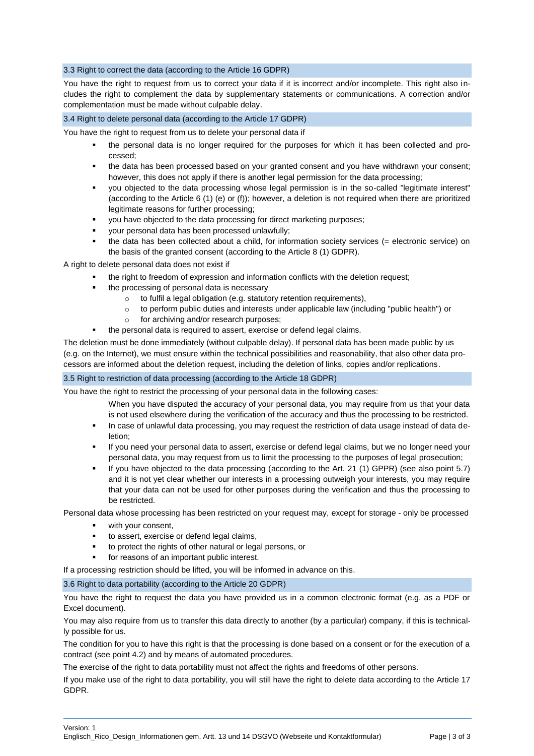# 3.3 Right to correct the data (according to the Article 16 GDPR)

You have the right to request from us to correct your data if it is incorrect and/or incomplete. This right also includes the right to complement the data by supplementary statements or communications. A correction and/or complementation must be made without culpable delay.

### 3.4 Right to delete personal data (according to the Article 17 GDPR)

You have the right to request from us to delete your personal data if

- the personal data is no longer required for the purposes for which it has been collected and processed;
- the data has been processed based on your granted consent and you have withdrawn your consent; however, this does not apply if there is another legal permission for the data processing;
- you objected to the data processing whose legal permission is in the so-called "legitimate interest" (according to the Article 6 (1) (e) or (f)); however, a deletion is not required when there are prioritized legitimate reasons for further processing;
- you have objected to the data processing for direct marketing purposes;
- your personal data has been processed unlawfully;
- the data has been collected about a child, for information society services (= electronic service) on the basis of the granted consent (according to the Article 8 (1) GDPR).

A right to delete personal data does not exist if

- the right to freedom of expression and information conflicts with the deletion request;
- the processing of personal data is necessary
	- o to fulfil a legal obligation (e.g. statutory retention requirements),
	- o to perform public duties and interests under applicable law (including "public health") or
	- o for archiving and/or research purposes;
- the personal data is required to assert, exercise or defend legal claims.

The deletion must be done immediately (without culpable delay). If personal data has been made public by us (e.g. on the Internet), we must ensure within the technical possibilities and reasonability, that also other data processors are informed about the deletion request, including the deletion of links, copies and/or replications.

# 3.5 Right to restriction of data processing (according to the Article 18 GDPR)

You have the right to restrict the processing of your personal data in the following cases:

- When you have disputed the accuracy of your personal data, you may require from us that your data is not used elsewhere during the verification of the accuracy and thus the processing to be restricted.
- In case of unlawful data processing, you may request the restriction of data usage instead of data deletion;
- If you need your personal data to assert, exercise or defend legal claims, but we no longer need your personal data, you may request from us to limit the processing to the purposes of legal prosecution;
- If you have objected to the data processing (according to the Art. 21 (1) GPPR) (see also point 5.7) and it is not yet clear whether our interests in a processing outweigh your interests, you may require that your data can not be used for other purposes during the verification and thus the processing to be restricted.

Personal data whose processing has been restricted on your request may, except for storage - only be processed

- **with your consent,**
- to assert, exercise or defend legal claims,
- to protect the rights of other natural or legal persons, or
- for reasons of an important public interest.

If a processing restriction should be lifted, you will be informed in advance on this.

3.6 Right to data portability (according to the Article 20 GDPR)

You have the right to request the data you have provided us in a common electronic format (e.g. as a PDF or Excel document).

You may also require from us to transfer this data directly to another (by a particular) company, if this is technically possible for us.

The condition for you to have this right is that the processing is done based on a consent or for the execution of a contract (see point 4.2) and by means of automated procedures.

The exercise of the right to data portability must not affect the rights and freedoms of other persons.

If you make use of the right to data portability, you will still have the right to delete data according to the Article 17 GDPR.

Version: 1

Englisch\_Rico\_Design\_Informationen gem. Artt. 13 und 14 DSGVO (Webseite und Kontaktformular) Page | 3 of 3